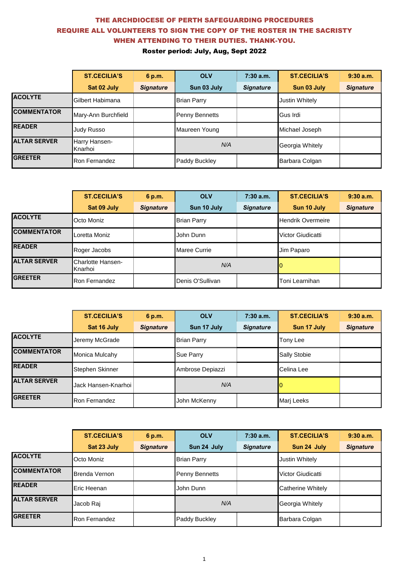|                     | <b>ST.CECILIA'S</b>      | 6 p.m.           | <b>OLV</b>            | 7:30a.m.         | <b>ST.CECILIA'S</b> | 9:30a.m.         |
|---------------------|--------------------------|------------------|-----------------------|------------------|---------------------|------------------|
|                     | Sat 02 July              | <b>Signature</b> | Sun 03 July           | <b>Signature</b> | Sun 03 July         | <b>Signature</b> |
| <b>ACOLYTE</b>      | Gilbert Habimana         |                  | <b>Brian Parry</b>    |                  | Justin Whitely      |                  |
| <b>COMMENTATOR</b>  | Mary-Ann Burchfield      |                  | <b>Penny Bennetts</b> |                  | Gus Irdi            |                  |
| <b>READER</b>       | Judy Russo               |                  | Maureen Young         |                  | Michael Joseph      |                  |
| <b>ALTAR SERVER</b> | Harry Hansen-<br>Knarhoi |                  | N/A                   |                  | Georgia Whitely     |                  |
| <b>GREETER</b>      | Ron Fernandez            |                  | Paddy Buckley         |                  | Barbara Colgan      |                  |

|                     | <b>ST.CECILIA'S</b>                 | 6 p.m.           | <b>OLV</b>          | 7:30a.m.         | <b>ST.CECILIA'S</b>      | 9:30a.m.         |
|---------------------|-------------------------------------|------------------|---------------------|------------------|--------------------------|------------------|
|                     | Sat 09 July                         | <b>Signature</b> | Sun 10 July         | <b>Signature</b> | Sun 10 July              | <b>Signature</b> |
| <b>ACOLYTE</b>      | Octo Moniz                          |                  | <b>Brian Parry</b>  |                  | <b>Hendrik Overmeire</b> |                  |
| <b>COMMENTATOR</b>  | Loretta Moniz                       |                  | John Dunn           |                  | Victor Giudicatti        |                  |
| <b>READER</b>       | Roger Jacobs                        |                  | <b>Maree Currie</b> |                  | Jim Paparo               |                  |
| <b>ALTAR SERVER</b> | <b>Charlotte Hansen-</b><br>Knarhoi |                  | N/A                 |                  |                          |                  |
| <b>GREETER</b>      | Ron Fernandez                       |                  | Denis O'Sullivan    |                  | lToni Learnihan          |                  |

|                     | <b>ST.CECILIA'S</b> | 6 p.m.           | <b>OLV</b>         | 7:30 a.m.        | <b>ST.CECILIA'S</b> | 9:30a.m.         |
|---------------------|---------------------|------------------|--------------------|------------------|---------------------|------------------|
|                     | Sat 16 July         | <b>Signature</b> | Sun 17 July        | <b>Signature</b> | Sun 17 July         | <b>Signature</b> |
| <b>ACOLYTE</b>      | Jeremy McGrade      |                  | <b>Brian Parry</b> |                  | Tony Lee            |                  |
| <b>COMMENTATOR</b>  | Monica Mulcahy      |                  | <b>Sue Parry</b>   |                  | <b>Sally Stobie</b> |                  |
| <b>READER</b>       | Stephen Skinner     |                  | Ambrose Depiazzi   |                  | Celina Lee          |                  |
| <b>ALTAR SERVER</b> | Jack Hansen-Knarhoi |                  | N/A                |                  |                     |                  |
| <b>GREETER</b>      | Ron Fernandez       |                  | John McKenny       |                  | Marj Leeks          |                  |

|                     | <b>ST.CECILIA'S</b>  | 6 p.m.           | <b>OLV</b>         | 7:30a.m.         | <b>ST.CECILIA'S</b>      | 9:30a.m.         |
|---------------------|----------------------|------------------|--------------------|------------------|--------------------------|------------------|
|                     | Sat 23 July          | <b>Signature</b> | Sun 24 July        | <b>Signature</b> | Sun 24 July              | <b>Signature</b> |
| <b>ACOLYTE</b>      | Octo Moniz           |                  | <b>Brian Parry</b> |                  | <b>Justin Whitely</b>    |                  |
| <b>COMMENTATOR</b>  | Brenda Vernon        |                  | Penny Bennetts     |                  | Victor Giudicatti        |                  |
| <b>READER</b>       | Eric Heenan          |                  | John Dunn          |                  | <b>Catherine Whitely</b> |                  |
| <b>ALTAR SERVER</b> | Jacob Raj            |                  | N/A                |                  | Georgia Whitely          |                  |
| <b>GREETER</b>      | <b>Ron Fernandez</b> |                  | Paddy Buckley      |                  | Barbara Colgan           |                  |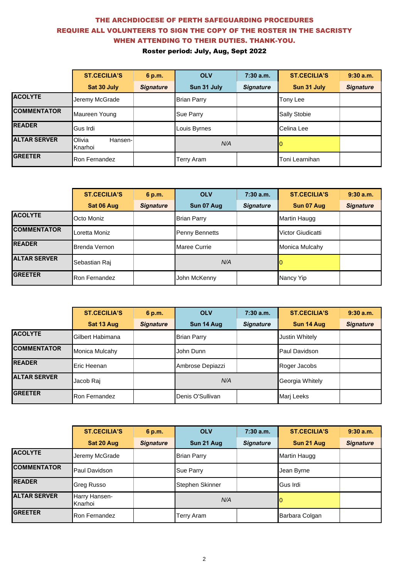|                     | <b>ST.CECILIA'S</b>          | 6 p.m.           | <b>OLV</b>         | $7:30$ a.m.      | <b>ST.CECILIA'S</b> | 9:30a.m.         |
|---------------------|------------------------------|------------------|--------------------|------------------|---------------------|------------------|
|                     | Sat 30 July                  | <b>Signature</b> | Sun 31 July        | <b>Signature</b> | Sun 31 July         | <b>Signature</b> |
| <b>ACOLYTE</b>      | Jeremy McGrade               |                  | <b>Brian Parry</b> |                  | Tony Lee            |                  |
| <b>COMMENTATOR</b>  | Maureen Young                |                  | <b>Sue Parry</b>   |                  | <b>Sally Stobie</b> |                  |
| <b>READER</b>       | Gus Irdi                     |                  | Louis Byrnes       |                  | Celina Lee          |                  |
| <b>ALTAR SERVER</b> | Olivia<br>Hansen-<br>Knarhoi |                  | N/A                |                  |                     |                  |
| <b>GREETER</b>      | Ron Fernandez                |                  | Terry Aram         |                  | Toni Learnihan      |                  |

|                     | <b>ST.CECILIA'S</b>  | 6 p.m.           | <b>OLV</b>            | 7:30 a.m.        | <b>ST.CECILIA'S</b> | 9:30a.m.         |
|---------------------|----------------------|------------------|-----------------------|------------------|---------------------|------------------|
|                     | Sat 06 Aug           | <b>Signature</b> | Sun 07 Aug            | <b>Signature</b> | Sun 07 Aug          | <b>Signature</b> |
| <b>ACOLYTE</b>      | Octo Moniz           |                  | <b>Brian Parry</b>    |                  | Martin Haugg        |                  |
| <b>COMMENTATOR</b>  | Loretta Moniz        |                  | <b>Penny Bennetts</b> |                  | Victor Giudicatti   |                  |
| <b>READER</b>       | Brenda Vernon        |                  | <b>Maree Currie</b>   |                  | Monica Mulcahy      |                  |
| <b>ALTAR SERVER</b> | Sebastian Raj        |                  | N/A                   |                  |                     |                  |
| <b>GREETER</b>      | <b>Ron Fernandez</b> |                  | John McKenny          |                  | Nancy Yip           |                  |

|                     | <b>ST.CECILIA'S</b> | 6 p.m.           | <b>OLV</b>         | $7:30$ a.m.      | <b>ST.CECILIA'S</b> | 9:30a.m.         |
|---------------------|---------------------|------------------|--------------------|------------------|---------------------|------------------|
|                     | Sat 13 Aug          | <b>Signature</b> | Sun 14 Aug         | <b>Signature</b> | Sun 14 Aug          | <b>Signature</b> |
| <b>ACOLYTE</b>      | Gilbert Habimana    |                  | <b>Brian Parry</b> |                  | Justin Whitely      |                  |
| <b>COMMENTATOR</b>  | Monica Mulcahy      |                  | John Dunn          |                  | Paul Davidson       |                  |
| <b>READER</b>       | Eric Heenan         |                  | Ambrose Depiazzi   |                  | Roger Jacobs        |                  |
| <b>ALTAR SERVER</b> | Jacob Raj           |                  | N/A                |                  | Georgia Whitely     |                  |
| <b>GREETER</b>      | Ron Fernandez       |                  | Denis O'Sullivan   |                  | Marj Leeks          |                  |

|                     | <b>ST.CECILIA'S</b>      | 6 p.m.           | <b>OLV</b>         | 7:30 a.m.        | <b>ST.CECILIA'S</b> | 9:30a.m.         |
|---------------------|--------------------------|------------------|--------------------|------------------|---------------------|------------------|
|                     | Sat 20 Aug               | <b>Signature</b> | Sun 21 Aug         | <b>Signature</b> | Sun 21 Aug          | <b>Signature</b> |
| <b>ACOLYTE</b>      | Jeremy McGrade           |                  | <b>Brian Parry</b> |                  | Martin Haugg        |                  |
| <b>COMMENTATOR</b>  | Paul Davidson            |                  | Sue Parry          |                  | Jean Byrne          |                  |
| <b>READER</b>       | Greg Russo               |                  | Stephen Skinner    |                  | Gus Irdi            |                  |
| <b>ALTAR SERVER</b> | Harry Hansen-<br>Knarhoi |                  | N/A                |                  | 10                  |                  |
| <b>GREETER</b>      | <b>Ron Fernandez</b>     |                  | Terry Aram         |                  | Barbara Colgan      |                  |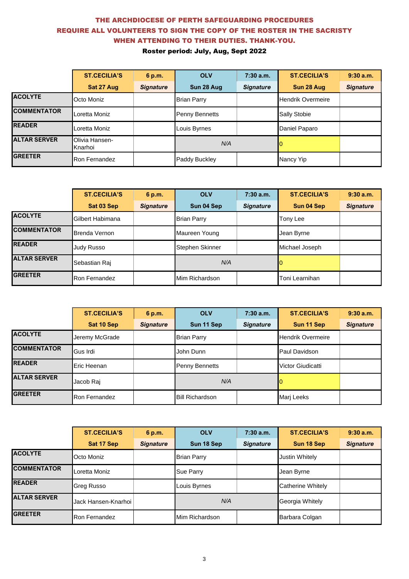|                     | <b>ST.CECILIA'S</b>       | 6 p.m.           | <b>OLV</b>            | 7:30a.m.         | <b>ST.CECILIA'S</b>      | 9:30a.m.         |
|---------------------|---------------------------|------------------|-----------------------|------------------|--------------------------|------------------|
|                     | Sat 27 Aug                | <b>Signature</b> | Sun 28 Aug            | <b>Signature</b> | Sun 28 Aug               | <b>Signature</b> |
| <b>ACOLYTE</b>      | Octo Moniz                |                  | <b>Brian Parry</b>    |                  | <b>Hendrik Overmeire</b> |                  |
| <b>COMMENTATOR</b>  | Loretta Moniz             |                  | <b>Penny Bennetts</b> |                  | Sally Stobie             |                  |
| <b>READER</b>       | Loretta Moniz             |                  | Louis Byrnes          |                  | Daniel Paparo            |                  |
| <b>ALTAR SERVER</b> | Olivia Hansen-<br>Knarhoi |                  | N/A                   |                  |                          |                  |
| <b>GREETER</b>      | Ron Fernandez             |                  | Paddy Buckley         |                  | Nancy Yip                |                  |

|                     | <b>ST.CECILIA'S</b>  | 6 p.m.           | <b>OLV</b>             | 7:30 a.m.        | <b>ST.CECILIA'S</b> | 9:30a.m.         |
|---------------------|----------------------|------------------|------------------------|------------------|---------------------|------------------|
|                     | Sat 03 Sep           | <b>Signature</b> | Sun 04 Sep             | <b>Signature</b> | Sun 04 Sep          | <b>Signature</b> |
| <b>ACOLYTE</b>      | Gilbert Habimana     |                  | <b>Brian Parry</b>     |                  | Tony Lee            |                  |
| <b>COMMENTATOR</b>  | Brenda Vernon        |                  | Maureen Young          |                  | Jean Byrne          |                  |
| <b>READER</b>       | Judy Russo           |                  | <b>Stephen Skinner</b> |                  | Michael Joseph      |                  |
| <b>ALTAR SERVER</b> | Sebastian Raj        |                  | N/A                    |                  |                     |                  |
| <b>GREETER</b>      | <b>Ron Fernandez</b> |                  | Mim Richardson         |                  | Toni Learnihan      |                  |

|                     | <b>ST.CECILIA'S</b> | 6 p.m.           | <b>OLV</b>             | $7:30$ a.m.      | <b>ST.CECILIA'S</b>      | 9:30a.m.         |
|---------------------|---------------------|------------------|------------------------|------------------|--------------------------|------------------|
|                     | Sat 10 Sep          | <b>Signature</b> | Sun 11 Sep             | <b>Signature</b> | Sun 11 Sep               | <b>Signature</b> |
| <b>ACOLYTE</b>      | Jeremy McGrade      |                  | <b>Brian Parry</b>     |                  | <b>Hendrik Overmeire</b> |                  |
| <b>COMMENTATOR</b>  | Gus Irdi            |                  | John Dunn              |                  | Paul Davidson            |                  |
| <b>READER</b>       | Eric Heenan         |                  | <b>Penny Bennetts</b>  |                  | Victor Giudicatti        |                  |
| <b>ALTAR SERVER</b> | Jacob Raj           |                  | N/A                    |                  |                          |                  |
| <b>GREETER</b>      | Ron Fernandez       |                  | <b>Bill Richardson</b> |                  | Marj Leeks               |                  |

|                     | <b>ST.CECILIA'S</b> | 6 p.m.           | <b>OLV</b>         | 7:30a.m.         | <b>ST.CECILIA'S</b>      | 9:30a.m.         |
|---------------------|---------------------|------------------|--------------------|------------------|--------------------------|------------------|
|                     | Sat 17 Sep          | <b>Signature</b> | Sun 18 Sep         | <b>Signature</b> | Sun 18 Sep               | <b>Signature</b> |
| <b>ACOLYTE</b>      | Octo Moniz          |                  | <b>Brian Parry</b> |                  | <b>Justin Whitely</b>    |                  |
| <b>COMMENTATOR</b>  | Loretta Moniz       |                  | Sue Parry          |                  | Jean Byrne               |                  |
| <b>READER</b>       | Greg Russo          |                  | Louis Byrnes       |                  | <b>Catherine Whitely</b> |                  |
| <b>ALTAR SERVER</b> | Jack Hansen-Knarhoi |                  | N/A                |                  | Georgia Whitely          |                  |
| <b>GREETER</b>      | Ron Fernandez       |                  | Mim Richardson     |                  | Barbara Colgan           |                  |